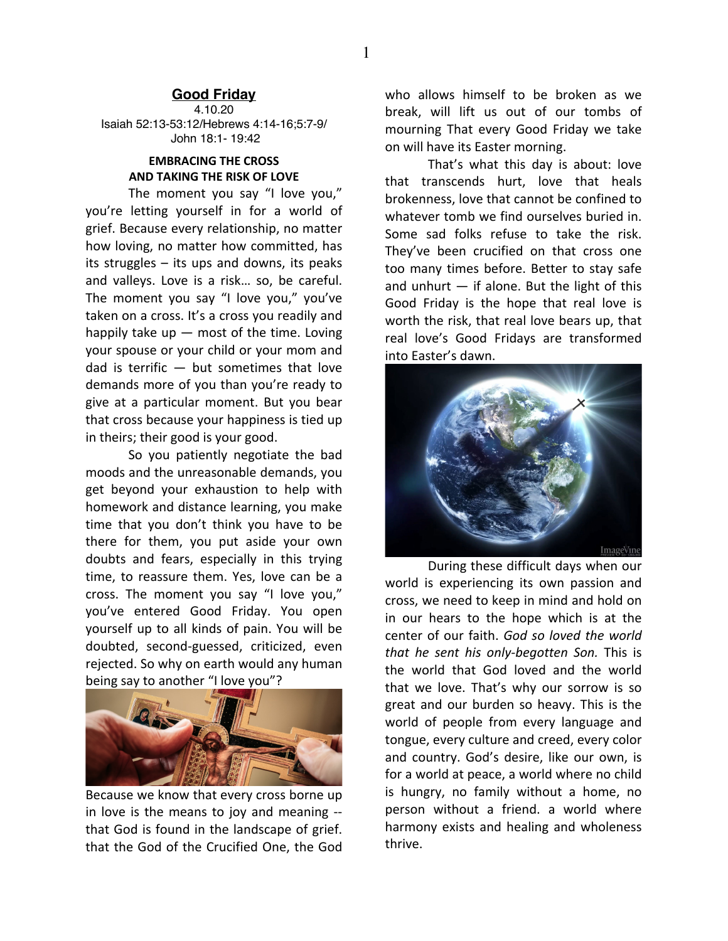## **Good Friday**

4.10.20 Isaiah 52:13-53:12/Hebrews 4:14-16;5:7-9/ John 18:1- 19:42

## **EMBRACING THE CROSS AND TAKING THE RISK OF LOVE**

The moment you say "I love you," you're letting yourself in for a world of grief. Because every relationship, no matter how loving, no matter how committed, has its struggles – its ups and downs, its peaks and valleys. Love is a risk… so, be careful. The moment you say "I love you," you've taken on a cross. It's a cross you readily and happily take up  $-$  most of the time. Loving your spouse or your child or your mom and dad is terrific  $-$  but sometimes that love demands more of you than you're ready to give at a particular moment. But you bear that cross because your happiness is tied up in theirs; their good is your good.

So you patiently negotiate the bad moods and the unreasonable demands, you get beyond your exhaustion to help with homework and distance learning, you make time that you don't think you have to be there for them, you put aside your own doubts and fears, especially in this trying time, to reassure them. Yes, love can be a cross. The moment you say "I love you," you've entered Good Friday. You open yourself up to all kinds of pain. You will be doubted, second-guessed, criticized, even rejected. So why on earth would any human being say to another "I love you"?



Because we know that every cross borne up in love is the means to joy and meaning - that God is found in the landscape of grief. that the God of the Crucified One, the God

who allows himself to be broken as we break, will lift us out of our tombs of mourning That every Good Friday we take on will have its Easter morning.

That's what this day is about: love that transcends hurt, love that heals brokenness, love that cannot be confined to whatever tomb we find ourselves buried in. Some sad folks refuse to take the risk. They've been crucified on that cross one too many times before. Better to stay safe and unhurt  $-$  if alone. But the light of this Good Friday is the hope that real love is worth the risk, that real love bears up, that real love's Good Fridays are transformed into Easter's dawn.



During these difficult days when our world is experiencing its own passion and cross, we need to keep in mind and hold on in our hears to the hope which is at the center of our faith. *God so loved the world that he sent his only-begotten Son.* This is the world that God loved and the world that we love. That's why our sorrow is so great and our burden so heavy. This is the world of people from every language and tongue, every culture and creed, every color and country. God's desire, like our own, is for a world at peace, a world where no child is hungry, no family without a home, no person without a friend. a world where harmony exists and healing and wholeness thrive.